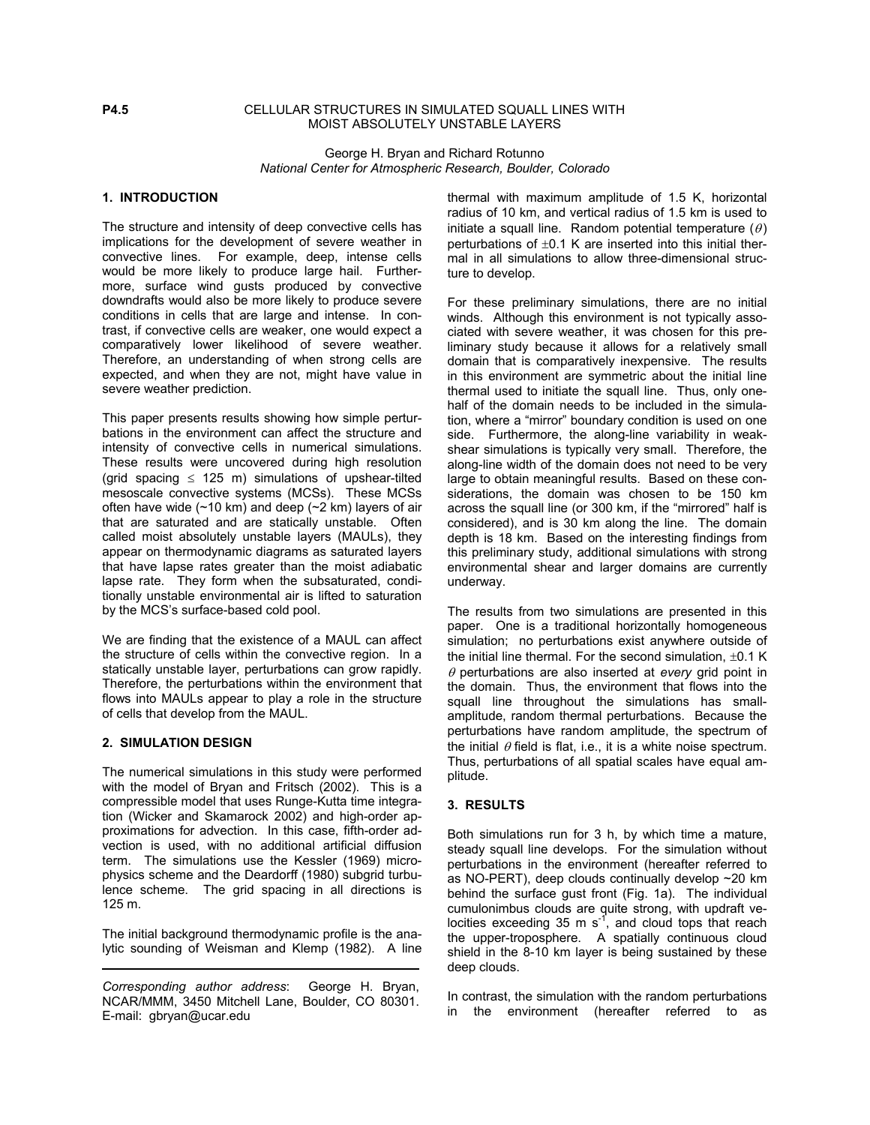## **P4.5** CELLULAR STRUCTURES IN SIMULATED SQUALL LINES WITH MOIST ABSOLUTELY UNSTABLE LAYERS

George H. Bryan and Richard Rotunno *National Center for Atmospheric Research, Boulder, Colorado* 

# **1. INTRODUCTION**

The structure and intensity of deep convective cells has implications for the development of severe weather in convective lines. For example, deep, intense cells would be more likely to produce large hail. Furthermore, surface wind gusts produced by convective downdrafts would also be more likely to produce severe conditions in cells that are large and intense. In contrast, if convective cells are weaker, one would expect a comparatively lower likelihood of severe weather. Therefore, an understanding of when strong cells are expected, and when they are not, might have value in severe weather prediction.

This paper presents results showing how simple perturbations in the environment can affect the structure and intensity of convective cells in numerical simulations. These results were uncovered during high resolution (grid spacing  $\leq$  125 m) simulations of upshear-tilted mesoscale convective systems (MCSs). These MCSs often have wide  $(\sim 10 \text{ km})$  and deep  $(\sim 2 \text{ km})$  layers of air that are saturated and are statically unstable. Often called moist absolutely unstable layers (MAULs), they appear on thermodynamic diagrams as saturated layers that have lapse rates greater than the moist adiabatic lapse rate. They form when the subsaturated, conditionally unstable environmental air is lifted to saturation by the MCS's surface-based cold pool.

We are finding that the existence of a MAUL can affect the structure of cells within the convective region. In a statically unstable layer, perturbations can grow rapidly. Therefore, the perturbations within the environment that flows into MAULs appear to play a role in the structure of cells that develop from the MAUL.

#### **2. SIMULATION DESIGN**

The numerical simulations in this study were performed with the model of Bryan and Fritsch (2002). This is a compressible model that uses Runge-Kutta time integration (Wicker and Skamarock 2002) and high-order approximations for advection. In this case, fifth-order advection is used, with no additional artificial diffusion term. The simulations use the Kessler (1969) microphysics scheme and the Deardorff (1980) subgrid turbulence scheme. The grid spacing in all directions is 125 m.

The initial background thermodynamic profile is the analytic sounding of Weisman and Klemp (1982). A line thermal with maximum amplitude of 1.5 K, horizontal radius of 10 km, and vertical radius of 1.5 km is used to initiate a squall line. Random potential temperature  $(\theta)$ perturbations of  $\pm 0.1$  K are inserted into this initial thermal in all simulations to allow three-dimensional structure to develop.

For these preliminary simulations, there are no initial winds. Although this environment is not typically associated with severe weather, it was chosen for this preliminary study because it allows for a relatively small domain that is comparatively inexpensive. The results in this environment are symmetric about the initial line thermal used to initiate the squall line. Thus, only onehalf of the domain needs to be included in the simulation, where a "mirror" boundary condition is used on one side. Furthermore, the along-line variability in weakshear simulations is typically very small. Therefore, the along-line width of the domain does not need to be very large to obtain meaningful results. Based on these considerations, the domain was chosen to be 150 km across the squall line (or 300 km, if the "mirrored" half is considered), and is 30 km along the line. The domain depth is 18 km. Based on the interesting findings from this preliminary study, additional simulations with strong environmental shear and larger domains are currently underway.

The results from two simulations are presented in this paper. One is a traditional horizontally homogeneous simulation; no perturbations exist anywhere outside of the initial line thermal. For the second simulation,  $\pm 0.1$  K  $\theta$  perturbations are also inserted at *every* grid point in the domain. Thus, the environment that flows into the squall line throughout the simulations has smallamplitude, random thermal perturbations. Because the perturbations have random amplitude, the spectrum of the initial  $\theta$  field is flat, i.e., it is a white noise spectrum. Thus, perturbations of all spatial scales have equal amplitude.

# **3. RESULTS**

Both simulations run for 3 h, by which time a mature, steady squall line develops. For the simulation without perturbations in the environment (hereafter referred to as NO-PERT), deep clouds continually develop ~20 km behind the surface gust front (Fig. 1a). The individual cumulonimbus clouds are quite strong, with updraft velocities exceeding 35 m  $s^{-1}$ , and cloud tops that reach the upper-troposphere. A spatially continuous cloud shield in the 8-10 km layer is being sustained by these deep clouds.

In contrast, the simulation with the random perturbations in the environment (hereafter referred to as

*Corresponding author address*: George H. Bryan, NCAR/MMM, 3450 Mitchell Lane, Boulder, CO 80301. E-mail: gbryan@ucar.edu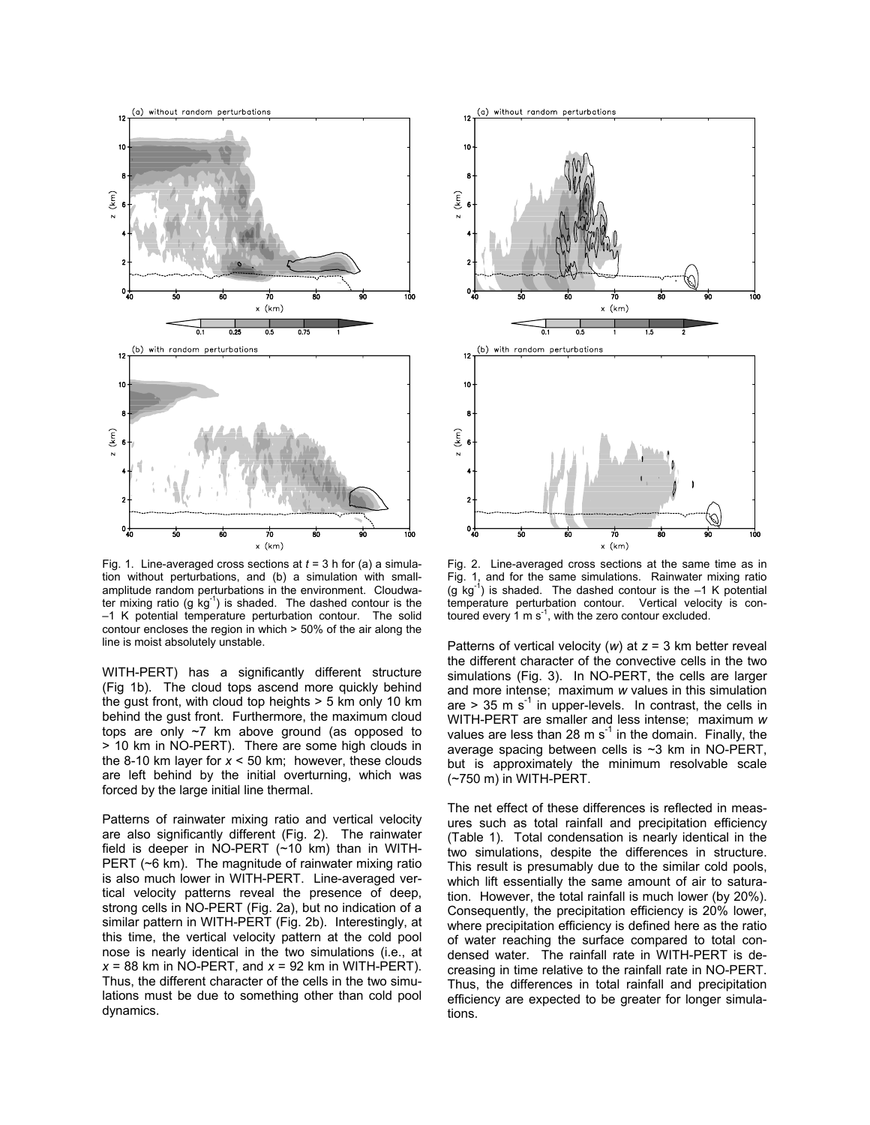

Fig. 1. Line-averaged cross sections at *t* = 3 h for (a) a simulation without perturbations, and (b) a simulation with smallamplitude random perturbations in the environment. Cloudwater mixing ratio (g  $kg^{-1}$ ) is shaded. The dashed contour is the –1 K potential temperature perturbation contour. The solid contour encloses the region in which > 50% of the air along the line is moist absolutely unstable.

WITH-PERT) has a significantly different structure (Fig 1b). The cloud tops ascend more quickly behind the gust front, with cloud top heights > 5 km only 10 km behind the gust front. Furthermore, the maximum cloud tops are only ~7 km above ground (as opposed to > 10 km in NO-PERT). There are some high clouds in the 8-10 km layer for *x* < 50 km; however, these clouds are left behind by the initial overturning, which was forced by the large initial line thermal.

Patterns of rainwater mixing ratio and vertical velocity are also significantly different (Fig. 2). The rainwater field is deeper in NO-PERT (~10 km) than in WITH-PERT (~6 km). The magnitude of rainwater mixing ratio is also much lower in WITH-PERT. Line-averaged vertical velocity patterns reveal the presence of deep, strong cells in NO-PERT (Fig. 2a), but no indication of a similar pattern in WITH-PERT (Fig. 2b). Interestingly, at this time, the vertical velocity pattern at the cold pool nose is nearly identical in the two simulations (i.e., at *x* = 88 km in NO-PERT, and *x* = 92 km in WITH-PERT). Thus, the different character of the cells in the two simulations must be due to something other than cold pool dynamics.



Fig. 2. Line-averaged cross sections at the same time as in Fig. 1, and for the same simulations. Rainwater mixing ratio  $(g \ kg^{-1})$  is shaded. The dashed contour is the  $-1$  K potential temperature perturbation contour. Vertical velocity is contoured every  $1 \text{ m s}^{-1}$ , with the zero contour excluded.

Patterns of vertical velocity (*w*) at *z* = 3 km better reveal the different character of the convective cells in the two simulations (Fig. 3). In NO-PERT, the cells are larger and more intense; maximum *w* values in this simulation are  $> 35$  m s<sup>-1</sup> in upper-levels. In contrast, the cells in WITH-PERT are smaller and less intense; maximum *w* values are less than 28 m  $s^{-1}$  in the domain. Finally, the average spacing between cells is ~3 km in NO-PERT, but is approximately the minimum resolvable scale (~750 m) in WITH-PERT.

The net effect of these differences is reflected in measures such as total rainfall and precipitation efficiency (Table 1). Total condensation is nearly identical in the two simulations, despite the differences in structure. This result is presumably due to the similar cold pools, which lift essentially the same amount of air to saturation. However, the total rainfall is much lower (by 20%). Consequently, the precipitation efficiency is 20% lower, where precipitation efficiency is defined here as the ratio of water reaching the surface compared to total condensed water. The rainfall rate in WITH-PERT is decreasing in time relative to the rainfall rate in NO-PERT. Thus, the differences in total rainfall and precipitation efficiency are expected to be greater for longer simulations.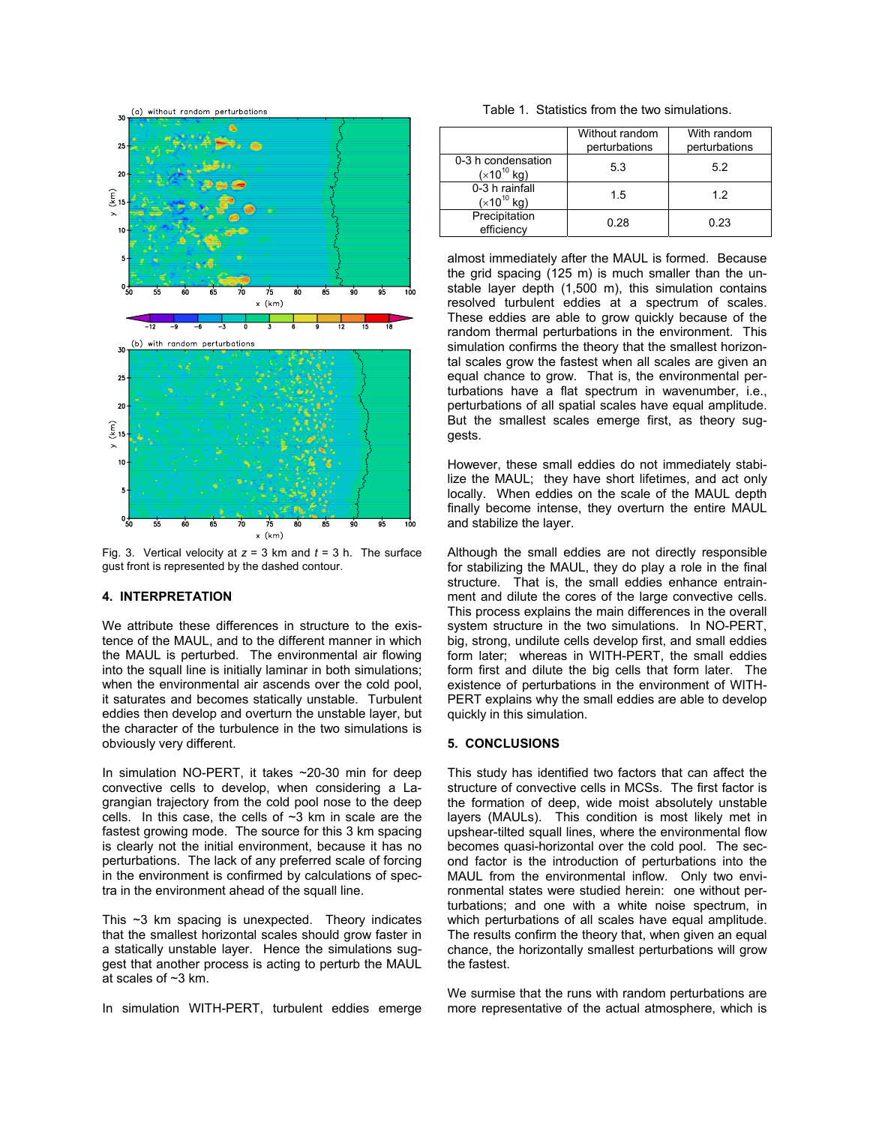

Fig. 3. Vertical velocity at *z* = 3 km and *t* = 3 h. The surface gust front is represented by the dashed contour.

### **4. INTERPRETATION**

We attribute these differences in structure to the existence of the MAUL, and to the different manner in which the MAUL is perturbed. The environmental air flowing into the squall line is initially laminar in both simulations; when the environmental air ascends over the cold pool, it saturates and becomes statically unstable. Turbulent eddies then develop and overturn the unstable layer, but the character of the turbulence in the two simulations is obviously very different. **5. CONCLUSIONS**

In simulation NO-PERT, it takes ~20-30 min for deep convective cells to develop, when considering a Lagrangian trajectory from the cold pool nose to the deep cells. In this case, the cells of  $\sim$ 3 km in scale are the fastest growing mode. The source for this 3 km spacing is clearly not the initial environment, because it has no perturbations. The lack of any preferred scale of forcing in the environment is confirmed by calculations of spectra in the environment ahead of the squall line.

This ~3 km spacing is unexpected. Theory indicates that the smallest horizontal scales should grow faster in a statically unstable layer. Hence the simulations suggest that another process is acting to perturb the MAUL at scales of ~3 km.

|--|

|                                       | Without random<br>perturbations | With random<br>perturbations |
|---------------------------------------|---------------------------------|------------------------------|
| 0-3 h condensation<br>$(x10^{10}$ kg) | 5.3                             | 5.2                          |
| 0-3 h rainfall<br>$(x10^{10}$ kg)     | 1.5                             | 12                           |
| Precipitation<br>efficiency           | 0.28                            | 0.23                         |

almost immediately after the MAUL is formed. Because the grid spacing (125 m) is much smaller than the unstable layer depth (1,500 m), this simulation contains resolved turbulent eddies at a spectrum of scales. These eddies are able to grow quickly because of the random thermal perturbations in the environment. This simulation confirms the theory that the smallest horizontal scales grow the fastest when all scales are given an equal chance to grow. That is, the environmental perturbations have a flat spectrum in wavenumber, i.e., perturbations of all spatial scales have equal amplitude. But the smallest scales emerge first, as theory suggests.

However, these small eddies do not immediately stabilize the MAUL; they have short lifetimes, and act only locally. When eddies on the scale of the MAUL depth finally become intense, they overturn the entire MAUL and stabilize the layer.

Although the small eddies are not directly responsible for stabilizing the MAUL, they do play a role in the final structure. That is, the small eddies enhance entrainment and dilute the cores of the large convective cells. This process explains the main differences in the overall system structure in the two simulations. In NO-PERT, big, strong, undilute cells develop first, and small eddies form later; whereas in WITH-PERT, the small eddies form first and dilute the big cells that form later. The existence of perturbations in the environment of WITH-PERT explains why the small eddies are able to develop quickly in this simulation.

This study has identified two factors that can affect the structure of convective cells in MCSs. The first factor is the formation of deep, wide moist absolutely unstable layers (MAULs). This condition is most likely met in upshear-tilted squall lines, where the environmental flow becomes quasi-horizontal over the cold pool. The second factor is the introduction of perturbations into the MAUL from the environmental inflow. Only two environmental states were studied herein: one without perturbations; and one with a white noise spectrum, in which perturbations of all scales have equal amplitude. The results confirm the theory that, when given an equal chance, the horizontally smallest perturbations will grow the fastest.

We surmise that the runs with random perturbations are In simulation WITH-PERT, turbulent eddies emerge more representative of the actual atmosphere, which is